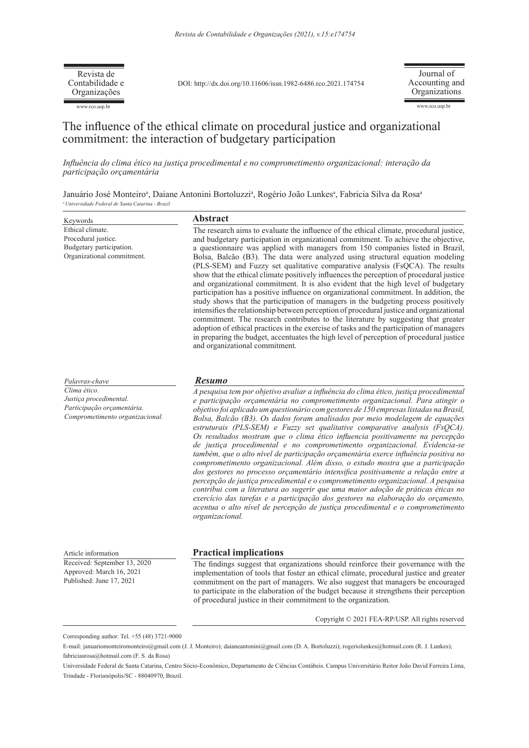www.rco.usp.br Revista de Contabilidade e Organizações

DOI: http://dx.doi.org/10.11606/issn.1982-6486.rco.2021.174754

Journal of Accounting and Organizations

www.rco.usp.br

# The influence of the ethical climate on procedural justice and organizational commitment: the interaction of budgetary participation

*Influência do clima ético na justiça procedimental e no comprometimento organizacional: interação da participação orçamentária*

Januário José Monteiroª, Daiane Antonini Bortoluzziª, Rogério João Lunkesª, Fabricia Silva da Rosaª *<sup>a</sup>Universidade Federal de Santa Catarina - Brazil* 

| Keywords                                                                                                                  | Abstract                                                                                                                                                                                                                                                                                                                                                                                                                                                                                                                                                                                                                                                                                                                                                                                                                                                                                                                                                                                                                                                                                                                                                                                                                                        |  |  |
|---------------------------------------------------------------------------------------------------------------------------|-------------------------------------------------------------------------------------------------------------------------------------------------------------------------------------------------------------------------------------------------------------------------------------------------------------------------------------------------------------------------------------------------------------------------------------------------------------------------------------------------------------------------------------------------------------------------------------------------------------------------------------------------------------------------------------------------------------------------------------------------------------------------------------------------------------------------------------------------------------------------------------------------------------------------------------------------------------------------------------------------------------------------------------------------------------------------------------------------------------------------------------------------------------------------------------------------------------------------------------------------|--|--|
| Ethical climate.<br>Procedural justice.<br>Budgetary participation.<br>Organizational commitment.                         | The research aims to evaluate the influence of the ethical climate, procedural justice,<br>and budgetary participation in organizational commitment. To achieve the objective,<br>a questionnaire was applied with managers from 150 companies listed in Brazil,<br>Bolsa, Balcão (B3). The data were analyzed using structural equation modeling<br>(PLS-SEM) and Fuzzy set qualitative comparative analysis (FsQCA). The results<br>show that the ethical climate positively influences the perception of procedural justice<br>and organizational commitment. It is also evident that the high level of budgetary<br>participation has a positive influence on organizational commitment. In addition, the<br>study shows that the participation of managers in the budgeting process positively<br>intensifies the relationship between perception of procedural justice and organizational<br>commitment. The research contributes to the literature by suggesting that greater<br>adoption of ethical practices in the exercise of tasks and the participation of managers<br>in preparing the budget, accentuates the high level of perception of procedural justice<br>and organizational commitment.                                   |  |  |
| Palavras-chave<br>Clima ético.<br>Justiça procedimental.<br>Participação orçamentária.<br>Comprometimento organizacional. | <b>Resumo</b><br>A pesquisa tem por objetivo avaliar a influência do clima ético, justiça procedimental<br>e participação orçamentária no comprometimento organizacional. Para atingir o<br>objetivo foi aplicado um questionário com gestores de 150 empresas listadas na Brasil,<br>Bolsa, Balcão (B3). Os dados foram analisados por meio modelagem de equações<br>estruturais (PLS-SEM) e Fuzzy set qualitative comparative analysis (FsQCA).<br>Os resultados mostram que o clima ético influencia positivamente na percepção<br>de justiça procedimental e no comprometimento organizacional. Evidencia-se<br>também, que o alto nível de participação orçamentária exerce influência positiva no<br>comprometimento organizacional. Além disso, o estudo mostra que a participação<br>dos gestores no processo orçamentário intensifica positivamente a relação entre a<br>percepção de justiça procedimental e o comprometimento organizacional. A pesquisa<br>contribui com a literatura ao sugerir que uma maior adoção de práticas éticas no<br>exercício das tarefas e a participação dos gestores na elaboração do orçamento,<br>acentua o alto nível de percepção de justiça procedimental e o comprometimento<br>organizacional. |  |  |
| Article information                                                                                                       | <b>Practical implications</b>                                                                                                                                                                                                                                                                                                                                                                                                                                                                                                                                                                                                                                                                                                                                                                                                                                                                                                                                                                                                                                                                                                                                                                                                                   |  |  |
| Received: September 13, 2020<br>Approved: March 16, 2021<br>Published: June 17, 2021                                      | The findings suggest that organizations should reinforce their governance with the<br>implementation of tools that foster an ethical climate, procedural justice and greater<br>commitment on the part of managers. We also suggest that managers be encouraged<br>to participate in the elaboration of the budget because it strengthens their perception<br>of procedural justice in their commitment to the organization.                                                                                                                                                                                                                                                                                                                                                                                                                                                                                                                                                                                                                                                                                                                                                                                                                    |  |  |
|                                                                                                                           | Copyright © 2021 FEA-RP/USP. All rights reserved                                                                                                                                                                                                                                                                                                                                                                                                                                                                                                                                                                                                                                                                                                                                                                                                                                                                                                                                                                                                                                                                                                                                                                                                |  |  |

Corresponding author: Tel. +55 (48) 3721-9000

E-mail: januariomonteiromonteiro@gmail.com (J. J. Monteiro); daianeantonini@gmail.com (D. A. Bortoluzzi); rogeriolunkes@hotmail.com (R. J. Lunkes); fabriciasrosa@hotmail.com (F. S. da Rosa)

Universidade Federal de Santa Catarina, Centro Sócio-Econômico, Departamento de Ciências Contábeis. Campus Universitário Reitor João David Ferreira Lima, Trindade - Florianópolis/SC - 88040970, Brazil.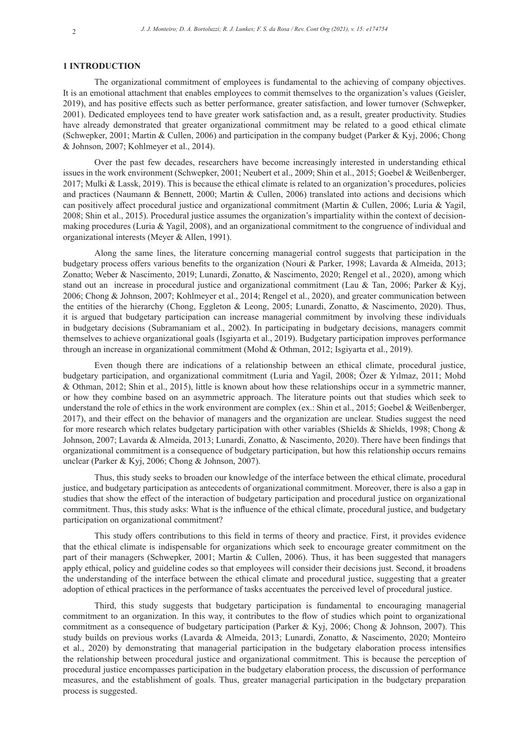#### **1 INTRODUCTION**

The organizational commitment of employees is fundamental to the achieving of company objectives. It is an emotional attachment that enables employees to commit themselves to the organization's values (Geisler, 2019), and has positive effects such as better performance, greater satisfaction, and lower turnover (Schwepker, 2001). Dedicated employees tend to have greater work satisfaction and, as a result, greater productivity. Studies have already demonstrated that greater organizational commitment may be related to a good ethical climate (Schwepker, 2001; Martin & Cullen, 2006) and participation in the company budget (Parker & Kyj, 2006; Chong & Johnson, 2007; Kohlmeyer et al., 2014).

Over the past few decades, researchers have become increasingly interested in understanding ethical issues in the work environment (Schwepker, 2001; Neubert et al., 2009; Shin et al., 2015; Goebel & Weißenberger, 2017; Mulki & Lassk, 2019). This is because the ethical climate is related to an organization's procedures, policies and practices (Naumann & Bennett, 2000; Martin & Cullen, 2006) translated into actions and decisions which can positively affect procedural justice and organizational commitment (Martin & Cullen, 2006; Luria & Yagil, 2008; Shin et al., 2015). Procedural justice assumes the organization's impartiality within the context of decisionmaking procedures (Luria & Yagil, 2008), and an organizational commitment to the congruence of individual and organizational interests (Meyer & Allen, 1991).

Along the same lines, the literature concerning managerial control suggests that participation in the budgetary process offers various benefits to the organization (Nouri & Parker, 1998; Lavarda & Almeida, 2013; Zonatto; Weber & Nascimento, 2019; Lunardi, Zonatto, & Nascimento, 2020; Rengel et al., 2020), among which stand out an increase in procedural justice and organizational commitment (Lau & Tan, 2006; Parker & Kyj, 2006; Chong & Johnson, 2007; Kohlmeyer et al., 2014; Rengel et al., 2020), and greater communication between the entities of the hierarchy (Chong, Eggleton & Leong, 2005; Lunardi, Zonatto, & Nascimento, 2020). Thus, it is argued that budgetary participation can increase managerial commitment by involving these individuals in budgetary decisions (Subramaniam et al., 2002). In participating in budgetary decisions, managers commit themselves to achieve organizational goals (Isgiyarta et al., 2019). Budgetary participation improves performance through an increase in organizational commitment (Mohd & Othman, 2012; Isgiyarta et al., 2019).

Even though there are indications of a relationship between an ethical climate, procedural justice, budgetary participation, and organizational commitment (Luria and Yagil, 2008; Özer & Yılmaz, 2011; Mohd & Othman, 2012; Shin et al., 2015), little is known about how these relationships occur in a symmetric manner, or how they combine based on an asymmetric approach. The literature points out that studies which seek to understand the role of ethics in the work environment are complex (ex.: Shin et al., 2015; Goebel & Weißenberger, 2017), and their effect on the behavior of managers and the organization are unclear. Studies suggest the need for more research which relates budgetary participation with other variables (Shields & Shields, 1998; Chong & Johnson, 2007; Lavarda & Almeida, 2013; Lunardi, Zonatto, & Nascimento, 2020). There have been findings that organizational commitment is a consequence of budgetary participation, but how this relationship occurs remains unclear (Parker & Kyj, 2006; Chong & Johnson, 2007).

Thus, this study seeks to broaden our knowledge of the interface between the ethical climate, procedural justice, and budgetary participation as antecedents of organizational commitment. Moreover, there is also a gap in studies that show the effect of the interaction of budgetary participation and procedural justice on organizational commitment. Thus, this study asks: What is the influence of the ethical climate, procedural justice, and budgetary participation on organizational commitment?

This study offers contributions to this field in terms of theory and practice. First, it provides evidence that the ethical climate is indispensable for organizations which seek to encourage greater commitment on the part of their managers (Schwepker, 2001; Martin & Cullen, 2006). Thus, it has been suggested that managers apply ethical, policy and guideline codes so that employees will consider their decisions just. Second, it broadens the understanding of the interface between the ethical climate and procedural justice, suggesting that a greater adoption of ethical practices in the performance of tasks accentuates the perceived level of procedural justice.

Third, this study suggests that budgetary participation is fundamental to encouraging managerial commitment to an organization. In this way, it contributes to the flow of studies which point to organizational commitment as a consequence of budgetary participation (Parker & Kyj, 2006; Chong & Johnson, 2007). This study builds on previous works (Lavarda & Almeida, 2013; Lunardi, Zonatto, & Nascimento, 2020; Monteiro et al., 2020) by demonstrating that managerial participation in the budgetary elaboration process intensifies the relationship between procedural justice and organizational commitment. This is because the perception of procedural justice encompasses participation in the budgetary elaboration process, the discussion of performance measures, and the establishment of goals. Thus, greater managerial participation in the budgetary preparation process is suggested.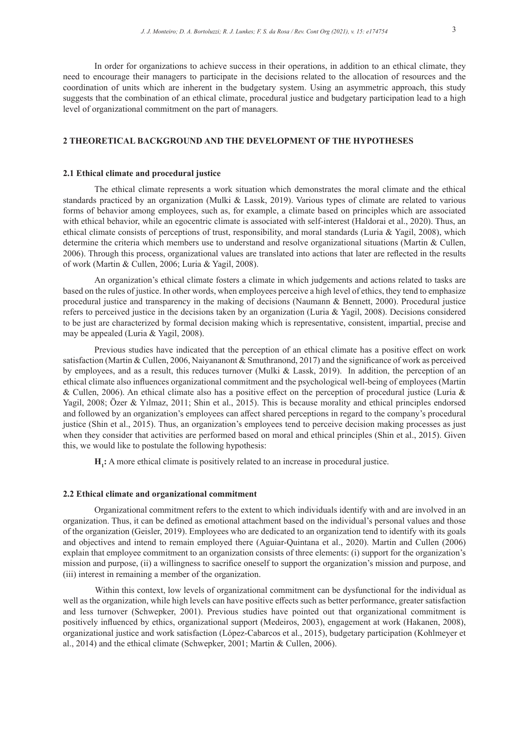In order for organizations to achieve success in their operations, in addition to an ethical climate, they need to encourage their managers to participate in the decisions related to the allocation of resources and the coordination of units which are inherent in the budgetary system. Using an asymmetric approach, this study suggests that the combination of an ethical climate, procedural justice and budgetary participation lead to a high level of organizational commitment on the part of managers.

# **2 THEORETICAL BACKGROUND AND THE DEVELOPMENT OF THE HYPOTHESES**

#### **2.1 Ethical climate and procedural justice**

The ethical climate represents a work situation which demonstrates the moral climate and the ethical standards practiced by an organization (Mulki & Lassk, 2019). Various types of climate are related to various forms of behavior among employees, such as, for example, a climate based on principles which are associated with ethical behavior, while an egocentric climate is associated with self-interest (Haldorai et al., 2020). Thus, an ethical climate consists of perceptions of trust, responsibility, and moral standards (Luria & Yagil, 2008), which determine the criteria which members use to understand and resolve organizational situations (Martin & Cullen, 2006). Through this process, organizational values are translated into actions that later are reflected in the results of work (Martin & Cullen, 2006; Luria & Yagil, 2008).

An organization's ethical climate fosters a climate in which judgements and actions related to tasks are based on the rules of justice. In other words, when employees perceive a high level of ethics, they tend to emphasize procedural justice and transparency in the making of decisions (Naumann & Bennett, 2000). Procedural justice refers to perceived justice in the decisions taken by an organization (Luria & Yagil, 2008). Decisions considered to be just are characterized by formal decision making which is representative, consistent, impartial, precise and may be appealed (Luria & Yagil, 2008).

Previous studies have indicated that the perception of an ethical climate has a positive effect on work satisfaction (Martin & Cullen, 2006, Naiyananont & Smuthranond, 2017) and the significance of work as perceived by employees, and as a result, this reduces turnover (Mulki & Lassk, 2019). In addition, the perception of an ethical climate also influences organizational commitment and the psychological well-being of employees (Martin & Cullen, 2006). An ethical climate also has a positive effect on the perception of procedural justice (Luria & Yagil, 2008; Özer & Yılmaz, 2011; Shin et al., 2015). This is because morality and ethical principles endorsed and followed by an organization's employees can affect shared perceptions in regard to the company's procedural justice (Shin et al., 2015). Thus, an organization's employees tend to perceive decision making processes as just when they consider that activities are performed based on moral and ethical principles (Shin et al., 2015). Given this, we would like to postulate the following hypothesis:

**H<sub>1</sub>**: A more ethical climate is positively related to an increase in procedural justice.

# **2.2 Ethical climate and organizational commitment**

Organizational commitment refers to the extent to which individuals identify with and are involved in an organization. Thus, it can be defined as emotional attachment based on the individual's personal values and those of the organization (Geisler, 2019). Employees who are dedicated to an organization tend to identify with its goals and objectives and intend to remain employed there (Aguiar-Quintana et al., 2020). Martin and Cullen (2006) explain that employee commitment to an organization consists of three elements: (i) support for the organization's mission and purpose, (ii) a willingness to sacrifice oneself to support the organization's mission and purpose, and (iii) interest in remaining a member of the organization.

Within this context, low levels of organizational commitment can be dysfunctional for the individual as well as the organization, while high levels can have positive effects such as better performance, greater satisfaction and less turnover (Schwepker, 2001). Previous studies have pointed out that organizational commitment is positively influenced by ethics, organizational support (Medeiros, 2003), engagement at work (Hakanen, 2008), organizational justice and work satisfaction (López-Cabarcos et al., 2015), budgetary participation (Kohlmeyer et al., 2014) and the ethical climate (Schwepker, 2001; Martin & Cullen, 2006).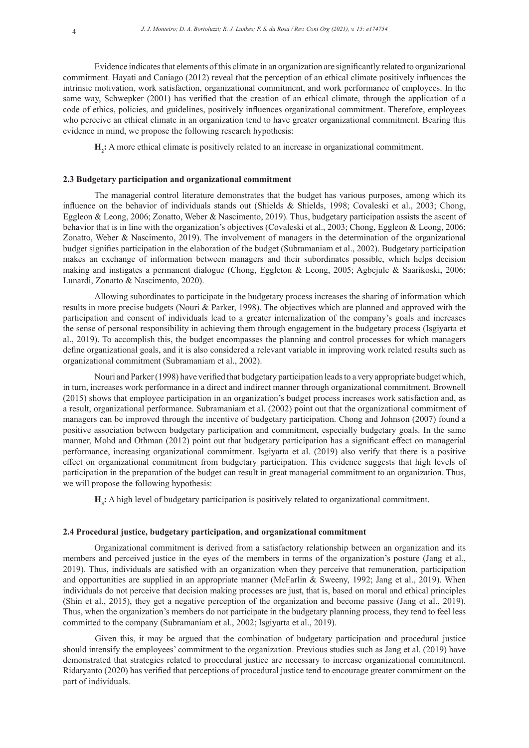Evidence indicates that elements of this climate in an organization are significantly related to organizational commitment. Hayati and Caniago (2012) reveal that the perception of an ethical climate positively influences the intrinsic motivation, work satisfaction, organizational commitment, and work performance of employees. In the same way, Schwepker (2001) has verified that the creation of an ethical climate, through the application of a code of ethics, policies, and guidelines, positively influences organizational commitment. Therefore, employees who perceive an ethical climate in an organization tend to have greater organizational commitment. Bearing this evidence in mind, we propose the following research hypothesis:

**H<sub>2</sub>**: A more ethical climate is positively related to an increase in organizational commitment.

# **2.3 Budgetary participation and organizational commitment**

The managerial control literature demonstrates that the budget has various purposes, among which its influence on the behavior of individuals stands out (Shields & Shields, 1998; Covaleski et al., 2003; Chong, Eggleon & Leong, 2006; Zonatto, Weber & Nascimento, 2019). Thus, budgetary participation assists the ascent of behavior that is in line with the organization's objectives (Covaleski et al., 2003; Chong, Eggleon & Leong, 2006; Zonatto, Weber & Nascimento, 2019). The involvement of managers in the determination of the organizational budget signifies participation in the elaboration of the budget (Subramaniam et al., 2002). Budgetary participation makes an exchange of information between managers and their subordinates possible, which helps decision making and instigates a permanent dialogue (Chong, Eggleton & Leong, 2005; Agbejule & Saarikoski, 2006; Lunardi, Zonatto & Nascimento, 2020).

Allowing subordinates to participate in the budgetary process increases the sharing of information which results in more precise budgets (Nouri & Parker, 1998). The objectives which are planned and approved with the participation and consent of individuals lead to a greater internalization of the company's goals and increases the sense of personal responsibility in achieving them through engagement in the budgetary process (Isgiyarta et al., 2019). To accomplish this, the budget encompasses the planning and control processes for which managers define organizational goals, and it is also considered a relevant variable in improving work related results such as organizational commitment (Subramaniam et al., 2002).

Nouri and Parker (1998) have verified that budgetary participation leads to a very appropriate budget which, in turn, increases work performance in a direct and indirect manner through organizational commitment. Brownell (2015) shows that employee participation in an organization's budget process increases work satisfaction and, as a result, organizational performance. Subramaniam et al. (2002) point out that the organizational commitment of managers can be improved through the incentive of budgetary participation. Chong and Johnson (2007) found a positive association between budgetary participation and commitment, especially budgetary goals. In the same manner, Mohd and Othman (2012) point out that budgetary participation has a significant effect on managerial performance, increasing organizational commitment. Isgiyarta et al. (2019) also verify that there is a positive effect on organizational commitment from budgetary participation. This evidence suggests that high levels of participation in the preparation of the budget can result in great managerial commitment to an organization. Thus, we will propose the following hypothesis:

**H3 :** A high level of budgetary participation is positively related to organizational commitment.

# **2.4 Procedural justice, budgetary participation, and organizational commitment**

Organizational commitment is derived from a satisfactory relationship between an organization and its members and perceived justice in the eyes of the members in terms of the organization's posture (Jang et al., 2019). Thus, individuals are satisfied with an organization when they perceive that remuneration, participation and opportunities are supplied in an appropriate manner (McFarlin & Sweeny, 1992; Jang et al., 2019). When individuals do not perceive that decision making processes are just, that is, based on moral and ethical principles (Shin et al., 2015), they get a negative perception of the organization and become passive (Jang et al., 2019). Thus, when the organization's members do not participate in the budgetary planning process, they tend to feel less committed to the company (Subramaniam et al., 2002; Isgiyarta et al., 2019).

Given this, it may be argued that the combination of budgetary participation and procedural justice should intensify the employees' commitment to the organization. Previous studies such as Jang et al. (2019) have demonstrated that strategies related to procedural justice are necessary to increase organizational commitment. Ridaryanto (2020) has verified that perceptions of procedural justice tend to encourage greater commitment on the part of individuals.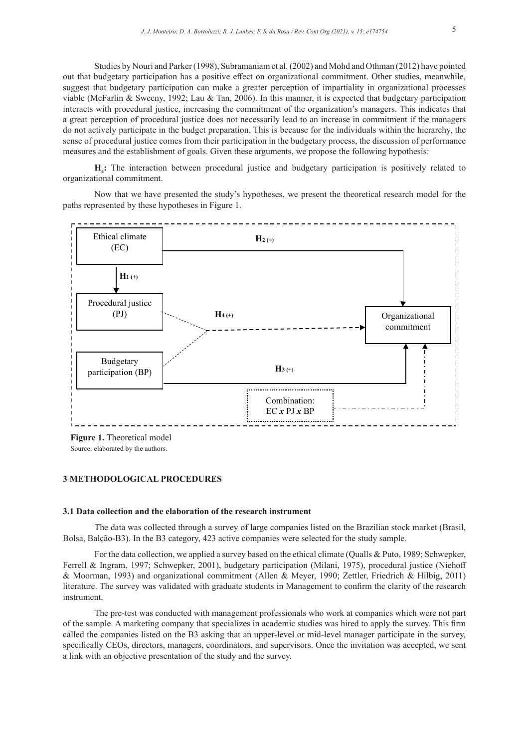Studies by Nouri and Parker (1998), Subramaniam et al. (2002) and Mohd and Othman (2012) have pointed out that budgetary participation has a positive effect on organizational commitment. Other studies, meanwhile, suggest that budgetary participation can make a greater perception of impartiality in organizational processes viable (McFarlin & Sweeny, 1992; Lau & Tan, 2006). In this manner, it is expected that budgetary participation interacts with procedural justice, increasing the commitment of the organization's managers. This indicates that a great perception of procedural justice does not necessarily lead to an increase in commitment if the managers do not actively participate in the budget preparation. This is because for the individuals within the hierarchy, the sense of procedural justice comes from their participation in the budgetary process, the discussion of performance measures and the establishment of goals. Given these arguments, we propose the following hypothesis:

**H4 :** The interaction between procedural justice and budgetary participation is positively related to organizational commitment.

Now that we have presented the study's hypotheses, we present the theoretical research model for the paths represented by these hypotheses in Figure 1.



Source: elaborated by the authors. **Figure 1.** Theoretical model

#### **3 METHODOLOGICAL PROCEDURES**

## **3.1 Data collection and the elaboration of the research instrument**

The data was collected through a survey of large companies listed on the Brazilian stock market (Brasil, Bolsa, Balção-B3). In the B3 category, 423 active companies were selected for the study sample.

For the data collection, we applied a survey based on the ethical climate (Qualls & Puto, 1989; Schwepker, Ferrell & Ingram, 1997; Schwepker, 2001), budgetary participation (Milani, 1975), procedural justice (Niehoff & Moorman, 1993) and organizational commitment (Allen & Meyer, 1990; Zettler, Friedrich & Hilbig, 2011) literature. The survey was validated with graduate students in Management to confirm the clarity of the research instrument.

The pre-test was conducted with management professionals who work at companies which were not part of the sample. A marketing company that specializes in academic studies was hired to apply the survey. This firm called the companies listed on the B3 asking that an upper-level or mid-level manager participate in the survey, specifically CEOs, directors, managers, coordinators, and supervisors. Once the invitation was accepted, we sent a link with an objective presentation of the study and the survey.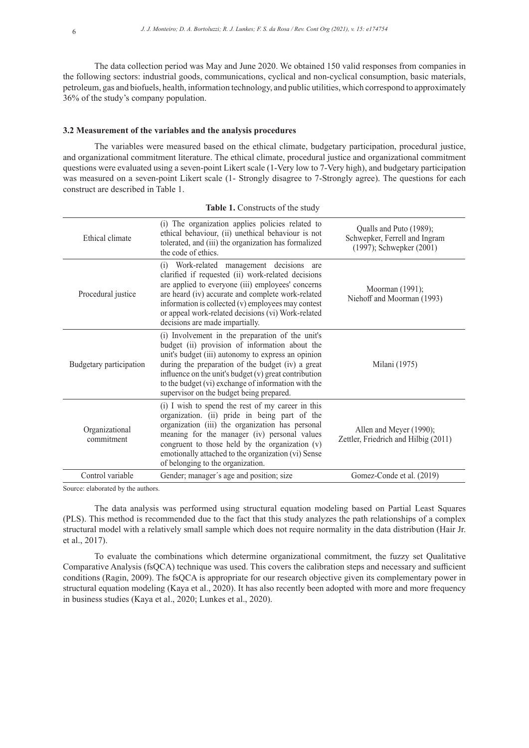The data collection period was May and June 2020. We obtained 150 valid responses from companies in the following sectors: industrial goods, communications, cyclical and non-cyclical consumption, basic materials, petroleum, gas and biofuels, health, information technology, and public utilities, which correspond to approximately 36% of the study's company population.

## **3.2 Measurement of the variables and the analysis procedures**

The variables were measured based on the ethical climate, budgetary participation, procedural justice, and organizational commitment literature. The ethical climate, procedural justice and organizational commitment questions were evaluated using a seven-point Likert scale (1-Very low to 7-Very high), and budgetary participation was measured on a seven-point Likert scale (1- Strongly disagree to 7-Strongly agree). The questions for each construct are described in Table 1.

| Ethical climate              | (i) The organization applies policies related to<br>ethical behaviour, (ii) unethical behaviour is not<br>tolerated, and (iii) the organization has formalized<br>the code of ethics.                                                                                                                                                                                     | Qualls and Puto (1989);<br>Schwepker, Ferrell and Ingram<br>$(1997)$ ; Schwepker $(2001)$ |
|------------------------------|---------------------------------------------------------------------------------------------------------------------------------------------------------------------------------------------------------------------------------------------------------------------------------------------------------------------------------------------------------------------------|-------------------------------------------------------------------------------------------|
| Procedural justice           | (i) Work-related management decisions are<br>clarified if requested (ii) work-related decisions<br>are applied to everyone (iii) employees' concerns<br>are heard (iv) accurate and complete work-related<br>information is collected (v) employees may contest<br>or appeal work-related decisions (vi) Work-related<br>decisions are made impartially.                  | Moorman (1991);<br>Niehoff and Moorman (1993)                                             |
| Budgetary participation      | (i) Involvement in the preparation of the unit's<br>budget (ii) provision of information about the<br>unit's budget (iii) autonomy to express an opinion<br>during the preparation of the budget (iv) a great<br>influence on the unit's budget (v) great contribution<br>to the budget (vi) exchange of information with the<br>supervisor on the budget being prepared. | Milani (1975)                                                                             |
| Organizational<br>commitment | (i) I wish to spend the rest of my career in this<br>organization. (ii) pride in being part of the<br>organization (iii) the organization has personal<br>meaning for the manager (iv) personal values<br>congruent to those held by the organization (v)<br>emotionally attached to the organization (vi) Sense<br>of belonging to the organization.                     | Allen and Meyer (1990);<br>Zettler, Friedrich and Hilbig (2011)                           |
| Control variable             | Gender; manager's age and position; size                                                                                                                                                                                                                                                                                                                                  | Gomez-Conde et al. (2019)                                                                 |

|  |  | Table 1. Constructs of the study |  |  |
|--|--|----------------------------------|--|--|
|--|--|----------------------------------|--|--|

Source: elaborated by the authors.

The data analysis was performed using structural equation modeling based on Partial Least Squares (PLS). This method is recommended due to the fact that this study analyzes the path relationships of a complex structural model with a relatively small sample which does not require normality in the data distribution (Hair Jr. et al., 2017).

To evaluate the combinations which determine organizational commitment, the fuzzy set Qualitative Comparative Analysis (fsQCA) technique was used. This covers the calibration steps and necessary and sufficient conditions (Ragin, 2009). The fsQCA is appropriate for our research objective given its complementary power in structural equation modeling (Kaya et al., 2020). It has also recently been adopted with more and more frequency in business studies (Kaya et al., 2020; Lunkes et al., 2020).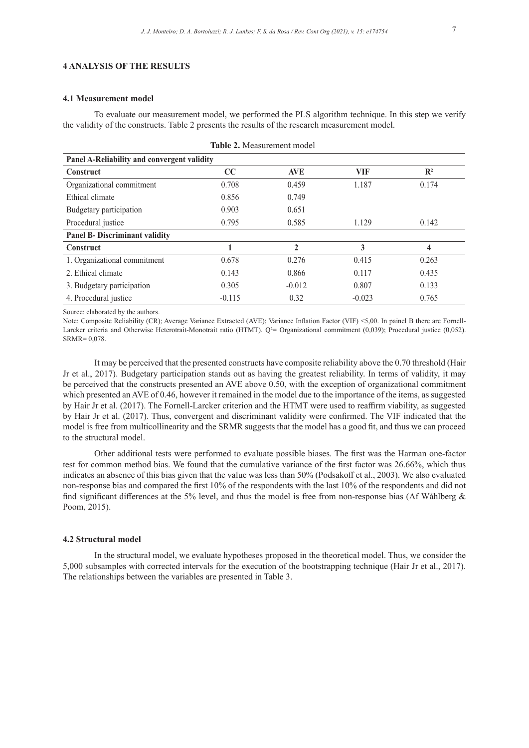# **4 ANALYSIS OF THE RESULTS**

#### **4.1 Measurement model**

To evaluate our measurement model, we performed the PLS algorithm technique. In this step we verify the validity of the constructs. Table 2 presents the results of the research measurement model.

| Table 2. Measurement model<br>Panel A-Reliability and convergent validity |          |              |          |       |  |
|---------------------------------------------------------------------------|----------|--------------|----------|-------|--|
|                                                                           |          |              |          |       |  |
| Organizational commitment                                                 | 0.708    | 0.459        | 1.187    | 0.174 |  |
| Ethical climate                                                           | 0.856    | 0.749        |          |       |  |
| Budgetary participation                                                   | 0.903    | 0.651        |          |       |  |
| Procedural justice                                                        | 0.795    | 0.585        | 1.129    | 0.142 |  |
| <b>Panel B- Discriminant validity</b>                                     |          |              |          |       |  |
| <b>Construct</b>                                                          |          | $\mathbf{2}$ | 3        | 4     |  |
| 1. Organizational commitment                                              | 0.678    | 0.276        | 0.415    | 0.263 |  |
| 2. Ethical climate                                                        | 0.143    | 0.866        | 0.117    | 0.435 |  |
| 3. Budgetary participation                                                | 0.305    | $-0.012$     | 0.807    | 0.133 |  |
| 4. Procedural justice                                                     | $-0.115$ | 0.32         | $-0.023$ | 0.765 |  |

Source: elaborated by the authors.

Note: Composite Reliability (CR); Average Variance Extracted (AVE); Variance Inflation Factor (VIF) <5,00. In painel B there are Fornell-Larcker criteria and Otherwise Heterotrait-Monotrait ratio (HTMT). Q<sup>2</sup>= Organizational commitment (0,039); Procedural justice (0,052). SRMR= 0,078.

It may be perceived that the presented constructs have composite reliability above the 0.70 threshold (Hair Jr et al., 2017). Budgetary participation stands out as having the greatest reliability. In terms of validity, it may be perceived that the constructs presented an AVE above 0.50, with the exception of organizational commitment which presented an AVE of 0.46, however it remained in the model due to the importance of the items, as suggested by Hair Jr et al. (2017). The Fornell-Larcker criterion and the HTMT were used to reaffirm viability, as suggested by Hair Jr et al. (2017). Thus, convergent and discriminant validity were confirmed. The VIF indicated that the model is free from multicollinearity and the SRMR suggests that the model has a good fit, and thus we can proceed to the structural model.

Other additional tests were performed to evaluate possible biases. The first was the Harman one-factor test for common method bias. We found that the cumulative variance of the first factor was 26.66%, which thus indicates an absence of this bias given that the value was less than 50% (Podsakoff et al., 2003). We also evaluated non-response bias and compared the first 10% of the respondents with the last 10% of the respondents and did not find significant differences at the 5% level, and thus the model is free from non-response bias (Af Wåhlberg & Poom, 2015).

#### **4.2 Structural model**

In the structural model, we evaluate hypotheses proposed in the theoretical model. Thus, we consider the 5,000 subsamples with corrected intervals for the execution of the bootstrapping technique (Hair Jr et al., 2017). The relationships between the variables are presented in Table 3.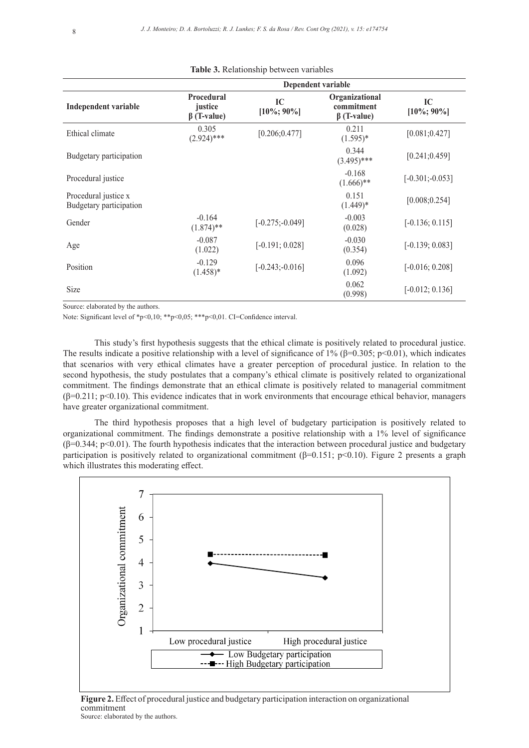| Independent variable                            | Procedural<br>justice<br>$\beta$ (T-value) | IC<br>$[10\%; 90\%]$                   | Organizational<br>commitment<br>$\beta$ (T-value) | IC<br>$[10\%; 90\%]$ |  |
|-------------------------------------------------|--------------------------------------------|----------------------------------------|---------------------------------------------------|----------------------|--|
| Ethical climate                                 | 0.305<br>$(2.924)$ ***                     | [0.206; 0.477]                         | 0.211<br>$(1.595)^*$                              | [0.081; 0.427]       |  |
| Budgetary participation                         |                                            |                                        | 0.344<br>$(3.495)$ ***                            | [0.241; 0.459]       |  |
| Procedural justice                              |                                            |                                        | $-0.168$<br>$(1.666)$ **                          | $[-0.301; -0.053]$   |  |
| Procedural justice x<br>Budgetary participation |                                            |                                        | 0.151<br>$(1.449)*$                               | [0.008; 0.254]       |  |
| Gender                                          | $-0.164$<br>$(1.874)$ **                   | $[-0.275; -0.049]$                     | $-0.003$<br>(0.028)                               | $[-0.136; 0.115]$    |  |
| Age                                             | $-0.087$<br>(1.022)                        | $[-0.191; 0.028]$                      | $-0.030$<br>(0.354)                               | $[-0.139; 0.083]$    |  |
| Position                                        | $-0.129$<br>$(1.458)*$                     | 0.096<br>$[-0.243; -0.016]$<br>(1.092) |                                                   | $[-0.016; 0.208]$    |  |
| Size                                            |                                            |                                        | 0.062<br>(0.998)                                  | $[-0.012; 0.136]$    |  |

Source: elaborated by the authors.

Note: Significant level of \*p<0,10; \*\*p<0,05; \*\*\*p<0,01. CI=Confidence interval.

This study's first hypothesis suggests that the ethical climate is positively related to procedural justice. The results indicate a positive relationship with a level of significance of 1% ( $\beta$ =0.305; p<0.01), which indicates that scenarios with very ethical climates have a greater perception of procedural justice. In relation to the second hypothesis, the study postulates that a company's ethical climate is positively related to organizational commitment. The findings demonstrate that an ethical climate is positively related to managerial commitment  $(\beta=0.211; p<0.10)$ . This evidence indicates that in work environments that encourage ethical behavior, managers have greater organizational commitment.

The third hypothesis proposes that a high level of budgetary participation is positively related to organizational commitment. The findings demonstrate a positive relationship with a 1% level of significance  $(\beta=0.344; p<0.01)$ . The fourth hypothesis indicates that the interaction between procedural justice and budgetary participation is positively related to organizational commitment  $(\beta=0.151; p<0.10)$ . Figure 2 presents a graph which illustrates this moderating effect.



**Figure 2.** Effect of procedural justice and budgetary participation interaction on organizational commitment Source: elaborated by the authors.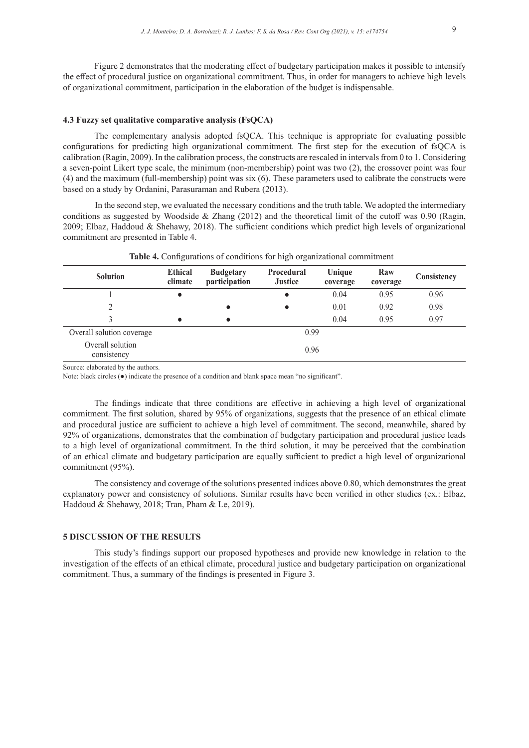Figure 2 demonstrates that the moderating effect of budgetary participation makes it possible to intensify the effect of procedural justice on organizational commitment. Thus, in order for managers to achieve high levels of organizational commitment, participation in the elaboration of the budget is indispensable.

#### **4.3 Fuzzy set qualitative comparative analysis (FsQCA)**

The complementary analysis adopted fsQCA. This technique is appropriate for evaluating possible configurations for predicting high organizational commitment. The first step for the execution of fsQCA is calibration (Ragin, 2009). In the calibration process, the constructs are rescaled in intervals from 0 to 1. Considering a seven-point Likert type scale, the minimum (non-membership) point was two (2), the crossover point was four (4) and the maximum (full-membership) point was six (6). These parameters used to calibrate the constructs were based on a study by Ordanini, Parasuraman and Rubera (2013).

In the second step, we evaluated the necessary conditions and the truth table. We adopted the intermediary conditions as suggested by Woodside & Zhang (2012) and the theoretical limit of the cutoff was 0.90 (Ragin, 2009; Elbaz, Haddoud & Shehawy, 2018). The sufficient conditions which predict high levels of organizational commitment are presented in Table 4.

| <b>Solution</b>                 | <b>Ethical</b><br>climate | <b>Budgetary</b><br>participation | <b>Procedural</b><br><b>Justice</b> | Unique<br>coverage | Raw<br>coverage | Consistency |
|---------------------------------|---------------------------|-----------------------------------|-------------------------------------|--------------------|-----------------|-------------|
|                                 |                           |                                   |                                     | 0.04               | 0.95            | 0.96        |
| 2                               |                           | $\bullet$                         |                                     | 0.01               | 0.92            | 0.98        |
| 3                               |                           | $\bullet$                         |                                     | 0.04               | 0.95            | 0.97        |
| Overall solution coverage       | 0.99                      |                                   |                                     |                    |                 |             |
| Overall solution<br>consistency |                           |                                   | 0.96                                |                    |                 |             |

Table 4. Configurations of conditions for high organizational commitment

Source: elaborated by the authors.

Note: black circles (●) indicate the presence of a condition and blank space mean "no significant".

The findings indicate that three conditions are effective in achieving a high level of organizational commitment. The first solution, shared by 95% of organizations, suggests that the presence of an ethical climate and procedural justice are sufficient to achieve a high level of commitment. The second, meanwhile, shared by 92% of organizations, demonstrates that the combination of budgetary participation and procedural justice leads to a high level of organizational commitment. In the third solution, it may be perceived that the combination of an ethical climate and budgetary participation are equally sufficient to predict a high level of organizational commitment (95%).

The consistency and coverage of the solutions presented indices above 0.80, which demonstrates the great explanatory power and consistency of solutions. Similar results have been verified in other studies (ex.: Elbaz, Haddoud & Shehawy, 2018; Tran, Pham & Le, 2019).

#### **5 DISCUSSION OF THE RESULTS**

This study's findings support our proposed hypotheses and provide new knowledge in relation to the investigation of the effects of an ethical climate, procedural justice and budgetary participation on organizational commitment. Thus, a summary of the findings is presented in Figure 3.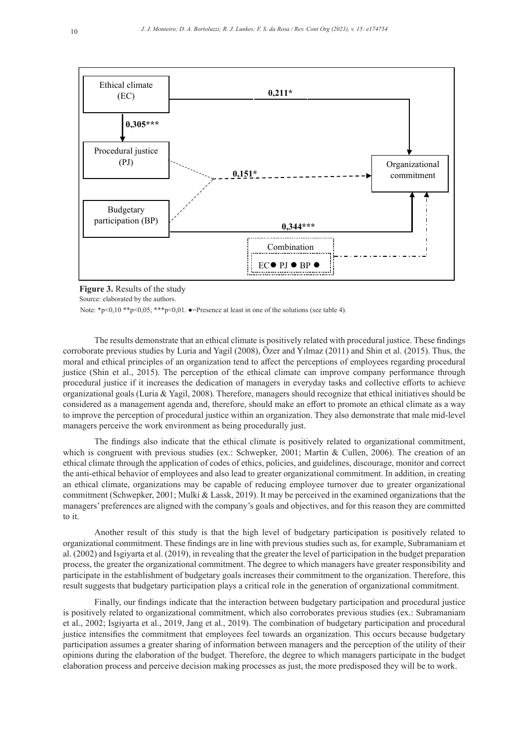

**Figure 3.** Results of the study

Source: elaborated by the authors.

Note: \*p<0,10 \*\*p<0,05; \*\*\*p<0,01.  $\bullet$ =Presence at least in one of the solutions (see table 4).

The results demonstrate that an ethical climate is positively related with procedural justice. These findings corroborate previous studies by Luria and Yagil (2008), Özer and Yılmaz (2011) and Shin et al. (2015). Thus, the moral and ethical principles of an organization tend to affect the perceptions of employees regarding procedural justice (Shin et al., 2015). The perception of the ethical climate can improve company performance through procedural justice if it increases the dedication of managers in everyday tasks and collective efforts to achieve organizational goals (Luria & Yagil, 2008). Therefore, managers should recognize that ethical initiatives should be considered as a management agenda and, therefore, should make an effort to promote an ethical climate as a way to improve the perception of procedural justice within an organization. They also demonstrate that male mid-level managers perceive the work environment as being procedurally just.

The findings also indicate that the ethical climate is positively related to organizational commitment, which is congruent with previous studies (ex.: Schwepker, 2001; Martin & Cullen, 2006). The creation of an ethical climate through the application of codes of ethics, policies, and guidelines, discourage, monitor and correct the anti-ethical behavior of employees and also lead to greater organizational commitment. In addition, in creating an ethical climate, organizations may be capable of reducing employee turnover due to greater organizational commitment (Schwepker, 2001; Mulki & Lassk, 2019). It may be perceived in the examined organizations that the managers' preferences are aligned with the company's goals and objectives, and for this reason they are committed to it.

Another result of this study is that the high level of budgetary participation is positively related to organizational commitment. These findings are in line with previous studies such as, for example, Subramaniam et al. (2002) and Isgiyarta et al. (2019), in revealing that the greater the level of participation in the budget preparation process, the greater the organizational commitment. The degree to which managers have greater responsibility and participate in the establishment of budgetary goals increases their commitment to the organization. Therefore, this result suggests that budgetary participation plays a critical role in the generation of organizational commitment.

Finally, our findings indicate that the interaction between budgetary participation and procedural justice is positively related to organizational commitment, which also corroborates previous studies (ex.: Subramaniam et al., 2002; Isgiyarta et al., 2019, Jang et al., 2019). The combination of budgetary participation and procedural justice intensifies the commitment that employees feel towards an organization. This occurs because budgetary participation assumes a greater sharing of information between managers and the perception of the utility of their opinions during the elaboration of the budget. Therefore, the degree to which managers participate in the budget elaboration process and perceive decision making processes as just, the more predisposed they will be to work.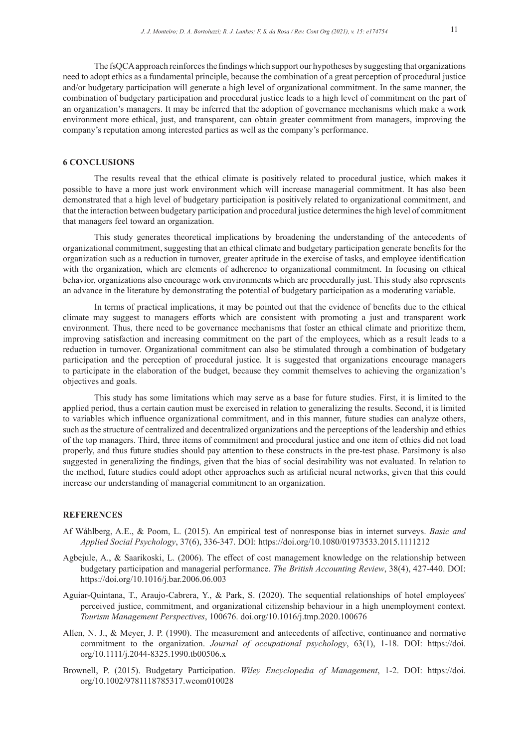The fsQCA approach reinforces the findings which support our hypotheses by suggesting that organizations need to adopt ethics as a fundamental principle, because the combination of a great perception of procedural justice and/or budgetary participation will generate a high level of organizational commitment. In the same manner, the combination of budgetary participation and procedural justice leads to a high level of commitment on the part of an organization's managers. It may be inferred that the adoption of governance mechanisms which make a work environment more ethical, just, and transparent, can obtain greater commitment from managers, improving the company's reputation among interested parties as well as the company's performance.

# **6 CONCLUSIONS**

The results reveal that the ethical climate is positively related to procedural justice, which makes it possible to have a more just work environment which will increase managerial commitment. It has also been demonstrated that a high level of budgetary participation is positively related to organizational commitment, and that the interaction between budgetary participation and procedural justice determines the high level of commitment that managers feel toward an organization.

This study generates theoretical implications by broadening the understanding of the antecedents of organizational commitment, suggesting that an ethical climate and budgetary participation generate benefits for the organization such as a reduction in turnover, greater aptitude in the exercise of tasks, and employee identification with the organization, which are elements of adherence to organizational commitment. In focusing on ethical behavior, organizations also encourage work environments which are procedurally just. This study also represents an advance in the literature by demonstrating the potential of budgetary participation as a moderating variable.

In terms of practical implications, it may be pointed out that the evidence of benefits due to the ethical climate may suggest to managers efforts which are consistent with promoting a just and transparent work environment. Thus, there need to be governance mechanisms that foster an ethical climate and prioritize them, improving satisfaction and increasing commitment on the part of the employees, which as a result leads to a reduction in turnover. Organizational commitment can also be stimulated through a combination of budgetary participation and the perception of procedural justice. It is suggested that organizations encourage managers to participate in the elaboration of the budget, because they commit themselves to achieving the organization's objectives and goals.

This study has some limitations which may serve as a base for future studies. First, it is limited to the applied period, thus a certain caution must be exercised in relation to generalizing the results. Second, it is limited to variables which influence organizational commitment, and in this manner, future studies can analyze others, such as the structure of centralized and decentralized organizations and the perceptions of the leadership and ethics of the top managers. Third, three items of commitment and procedural justice and one item of ethics did not load properly, and thus future studies should pay attention to these constructs in the pre-test phase. Parsimony is also suggested in generalizing the findings, given that the bias of social desirability was not evaluated. In relation to the method, future studies could adopt other approaches such as artificial neural networks, given that this could increase our understanding of managerial commitment to an organization.

#### **REFERENCES**

- Af Wåhlberg, A.E., & Poom, L. (2015). An empirical test of nonresponse bias in internet surveys. *Basic and Applied Social Psychology*, 37(6), 336-347. DOI: https://doi.org/10.1080/01973533.2015.1111212
- Agbejule, A., & Saarikoski, L. (2006). The effect of cost management knowledge on the relationship between budgetary participation and managerial performance. *The British Accounting Review*, 38(4), 427-440. DOI: https://doi.org/10.1016/j.bar.2006.06.003
- Aguiar-Quintana, T., Araujo-Cabrera, Y., & Park, S. (2020). The sequential relationships of hotel employees' perceived justice, commitment, and organizational citizenship behaviour in a high unemployment context. *Tourism Management Perspectives*, 100676. doi.org/10.1016/j.tmp.2020.100676
- Allen, N. J., & Meyer, J. P. (1990). The measurement and antecedents of affective, continuance and normative commitment to the organization. *Journal of occupational psychology*, 63(1), 1-18. DOI: https://doi. org/10.1111/j.2044-8325.1990.tb00506.x
- Brownell, P. (2015). Budgetary Participation. *Wiley Encyclopedia of Management*, 1-2. DOI: https://doi. org/10.1002/9781118785317.weom010028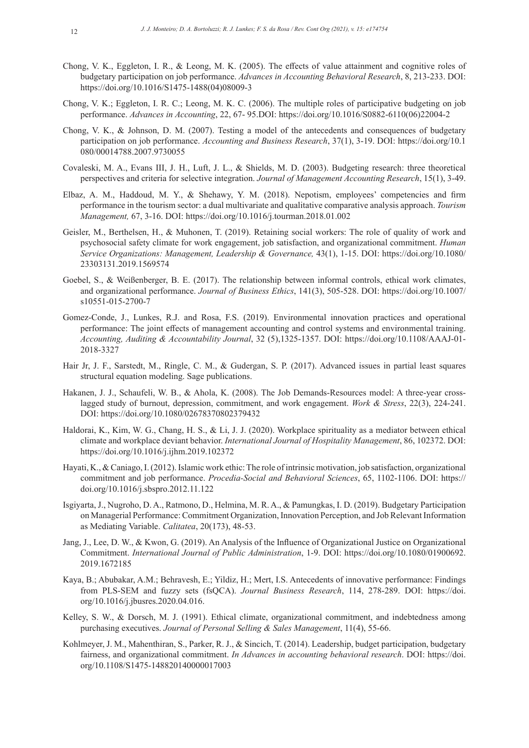- Chong, V. K., Eggleton, I. R., & Leong, M. K. (2005). The effects of value attainment and cognitive roles of budgetary participation on job performance. *Advances in Accounting Behavioral Research*, 8, 213-233. DOI: https://doi.org/10.1016/S1475-1488(04)08009-3
- Chong, V. K.; Eggleton, I. R. C.; Leong, M. K. C. (2006). The multiple roles of participative budgeting on job performance. *Advances in Accounting*, 22, 67- 95.DOI: https://doi.org/10.1016/S0882-6110(06)22004-2
- Chong, V. K., & Johnson, D. M. (2007). Testing a model of the antecedents and consequences of budgetary participation on job performance. *Accounting and Business Research*, 37(1), 3-19. DOI: https://doi.org/10.1 080/00014788.2007.9730055
- Covaleski, M. A., Evans III, J. H., Luft, J. L., & Shields, M. D. (2003). Budgeting research: three theoretical perspectives and criteria for selective integration. *Journal of Management Accounting Research*, 15(1), 3-49.
- Elbaz, A. M., Haddoud, M. Y., & Shehawy, Y. M. (2018). Nepotism, employees' competencies and firm performance in the tourism sector: a dual multivariate and qualitative comparative analysis approach. *Tourism Management,* 67, 3-16. DOI: https://doi.org/10.1016/j.tourman.2018.01.002
- Geisler, M., Berthelsen, H., & Muhonen, T. (2019). Retaining social workers: The role of quality of work and psychosocial safety climate for work engagement, job satisfaction, and organizational commitment. *Human Service Organizations: Management, Leadership & Governance,* 43(1), 1-15. DOI: https://doi.org/10.1080/ 23303131.2019.1569574
- Goebel, S., & Weißenberger, B. E. (2017). The relationship between informal controls, ethical work climates, and organizational performance. *Journal of Business Ethics*, 141(3), 505-528. DOI: https://doi.org/10.1007/ s10551-015-2700-7
- Gomez-Conde, J., Lunkes, R.J. and Rosa, F.S. (2019). Environmental innovation practices and operational performance: The joint effects of management accounting and control systems and environmental training. *Accounting, Auditing & Accountability Journal*, 32 (5),1325-1357. DOI: https://doi.org/10.1108/AAAJ-01- 2018-3327
- Hair Jr, J. F., Sarstedt, M., Ringle, C. M., & Gudergan, S. P. (2017). Advanced issues in partial least squares structural equation modeling. Sage publications.
- Hakanen, J. J., Schaufeli, W. B., & Ahola, K. (2008). The Job Demands-Resources model: A three-year crosslagged study of burnout, depression, commitment, and work engagement. *Work & Stress*, 22(3), 224-241. DOI: https://doi.org/10.1080/02678370802379432
- Haldorai, K., Kim, W. G., Chang, H. S., & Li, J. J. (2020). Workplace spirituality as a mediator between ethical climate and workplace deviant behavior. *International Journal of Hospitality Management*, 86, 102372. DOI: https://doi.org/10.1016/j.ijhm.2019.102372
- Hayati, K., & Caniago, I. (2012). Islamic work ethic: The role of intrinsic motivation, job satisfaction, organizational commitment and job performance. *Procedia-Social and Behavioral Sciences*, 65, 1102-1106. DOI: https:// doi.org/10.1016/j.sbspro.2012.11.122
- Isgiyarta, J., Nugroho, D. A., Ratmono, D., Helmina, M. R. A., & Pamungkas, I. D. (2019). Budgetary Participation on Managerial Performance: Commitment Organization, Innovation Perception, and Job Relevant Information as Mediating Variable. *Calitatea*, 20(173), 48-53.
- Jang, J., Lee, D. W., & Kwon, G. (2019). An Analysis of the Influence of Organizational Justice on Organizational Commitment. *International Journal of Public Administration*, 1-9. DOI: https://doi.org/10.1080/01900692. 2019.1672185
- Kaya, B.; Abubakar, A.M.; Behravesh, E.; Yildiz, H.; Mert, I.S. Antecedents of innovative performance: Findings from PLS-SEM and fuzzy sets (fsQCA). *Journal Business Research*, 114, 278-289. DOI: https://doi. org/10.1016/j.jbusres.2020.04.016.
- Kelley, S. W., & Dorsch, M. J. (1991). Ethical climate, organizational commitment, and indebtedness among purchasing executives. *Journal of Personal Selling & Sales Management*, 11(4), 55-66.
- Kohlmeyer, J. M., Mahenthiran, S., Parker, R. J., & Sincich, T. (2014). Leadership, budget participation, budgetary fairness, and organizational commitment. *In Advances in accounting behavioral research*. DOI: https://doi. org/10.1108/S1475-148820140000017003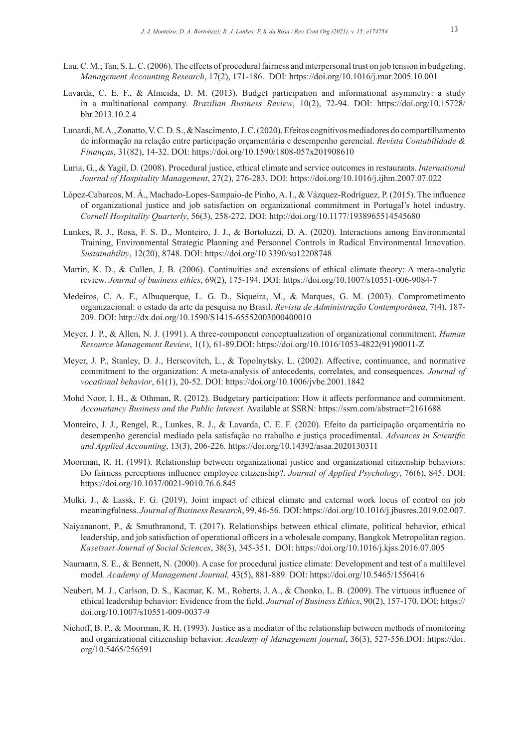- Lau, C. M.; Tan, S. L. C. (2006). The effects of procedural fairness and interpersonal trust on job tension in budgeting. *Management Accounting Research*, 17(2), 171-186. DOI: https://doi.org/10.1016/j.mar.2005.10.001
- Lavarda, C. E. F., & Almeida, D. M. (2013). Budget participation and informational asymmetry: a study in a multinational company. *Brazilian Business Review*, 10(2), 72-94. DOI: https://doi.org/10.15728/ bbr.2013.10.2.4
- Lunardi, M. A., Zonatto, V. C. D. S., & Nascimento, J. C. (2020). Efeitos cognitivos mediadores do compartilhamento de informação na relação entre participação orçamentária e desempenho gerencial. *Revista Contabilidade & Finanças*, 31(82), 14-32. DOI: https://doi.org/10.1590/1808-057x201908610
- Luria, G., & Yagil, D. (2008). Procedural justice, ethical climate and service outcomes in restaurants. *International Journal of Hospitality Management*, 27(2), 276-283. DOI: https://doi.org/10.1016/j.ijhm.2007.07.022
- López-Cabarcos, M. Á., Machado-Lopes-Sampaio-de Pinho, A. I., & Vázquez-Rodríguez, P. (2015). The influence of organizational justice and job satisfaction on organizational commitment in Portugal's hotel industry. *Cornell Hospitality Quarterly*, 56(3), 258-272. DOI: http://doi.org/10.1177/1938965514545680
- Lunkes, R. J., Rosa, F. S. D., Monteiro, J. J., & Bortoluzzi, D. A. (2020). Interactions among Environmental Training, Environmental Strategic Planning and Personnel Controls in Radical Environmental Innovation. *Sustainability*, 12(20), 8748. DOI: https://doi.org/10.3390/su12208748
- Martin, K. D., & Cullen, J. B. (2006). Continuities and extensions of ethical climate theory: A meta-analytic review. *Journal of business ethics*, 69(2), 175-194. DOI: https://doi.org/10.1007/s10551-006-9084-7
- Medeiros, C. A. F., Albuquerque, L. G. D., Siqueira, M., & Marques, G. M. (2003). Comprometimento organizacional: o estado da arte da pesquisa no Brasil. *Revista de Administração Contemporânea*, 7(4), 187- 209. DOI: http://dx.doi.org/10.1590/S1415-65552003000400010
- Meyer, J. P., & Allen, N. J. (1991). A three-component conceptualization of organizational commitment. *Human Resource Management Review*, 1(1), 61-89.DOI: https://doi.org/10.1016/1053-4822(91)90011-Z
- Meyer, J. P., Stanley, D. J., Herscovitch, L., & Topolnytsky, L. (2002). Affective, continuance, and normative commitment to the organization: A meta-analysis of antecedents, correlates, and consequences. *Journal of vocational behavior*, 61(1), 20-52. DOI: https://doi.org/10.1006/jvbe.2001.1842
- Mohd Noor, I. H., & Othman, R. (2012). Budgetary participation: How it affects performance and commitment. *Accountancy Business and the Public Interest*. Available at SSRN: https://ssrn.com/abstract=2161688
- Monteiro, J. J., Rengel, R., Lunkes, R. J., & Lavarda, C. E. F. (2020). Efeito da participação orçamentária no desempenho gerencial mediado pela satisfação no trabalho e justiça procedimental. *Advances in Scientific and Applied Accounting*, 13(3), 206-226. https://doi.org/10.14392/asaa.2020130311
- Moorman, R. H. (1991). Relationship between organizational justice and organizational citizenship behaviors: Do fairness perceptions influence employee citizenship?. *Journal of Applied Psychology*, 76(6), 845. DOI: https://doi.org/10.1037/0021-9010.76.6.845
- Mulki, J., & Lassk, F. G. (2019). Joint impact of ethical climate and external work locus of control on job meaningfulness. *Journal of Business Research*, 99, 46-56. DOI: https://doi.org/10.1016/j.jbusres.2019.02.007.
- Naiyananont, P., & Smuthranond, T. (2017). Relationships between ethical climate, political behavior, ethical leadership, and job satisfaction of operational officers in a wholesale company, Bangkok Metropolitan region. *Kasetsart Journal of Social Sciences*, 38(3), 345-351. DOI: https://doi.org/10.1016/j.kjss.2016.07.005
- Naumann, S. E., & Bennett, N. (2000). A case for procedural justice climate: Development and test of a multilevel model. *Academy of Management Journal,* 43(5), 881-889. DOI: https://doi.org/10.5465/1556416
- Neubert, M. J., Carlson, D. S., Kacmar, K. M., Roberts, J. A., & Chonko, L. B. (2009). The virtuous influence of ethical leadership behavior: Evidence from the field. *Journal of Business Ethics*, 90(2), 157-170. DOI: https:// doi.org/10.1007/s10551-009-0037-9
- Niehoff, B. P., & Moorman, R. H. (1993). Justice as a mediator of the relationship between methods of monitoring and organizational citizenship behavior. *Academy of Management journal*, 36(3), 527-556.DOI: https://doi. org/10.5465/256591